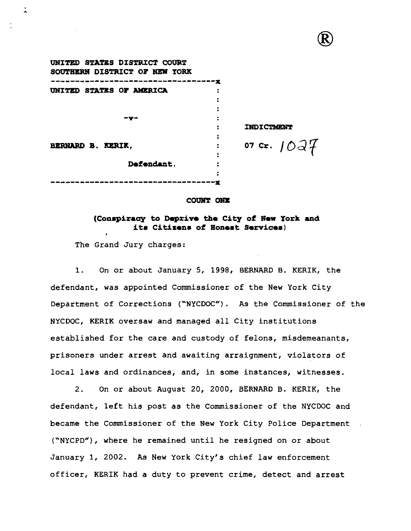| UNITED STATES DISTRICT COURT<br>SOUTHERN DISTRICT OF NEW YORK |               |
|---------------------------------------------------------------|---------------|
|                                                               |               |
| UNITED STATES OF AMERICA                                      |               |
|                                                               |               |
|                                                               |               |
| −v−                                                           |               |
|                                                               | INDICTMENT    |
|                                                               |               |
| <b>BERNARD B. KERIK,</b>                                      | 07 Cr. $10a7$ |
|                                                               |               |
| Defendant.                                                    |               |
|                                                               |               |
|                                                               |               |

#### COUNT ONE

# **(Conspiracy to Deprive the City of New York and itn Citizenn of Honeat Services)**

The Grand Jury charges:

Ą

1. On or about January 5, 1998, BERNARD B. KERIK, the defendant, was appointed Commissioner of the New York City Department of Corrections ("NYCDOC"). As the Commissioner of the NYCDOC, KERIK oversaw and managed all City institutions established for the care and custody of felons, misdemeanants, prisoners under arrest and awaiting arraignment, violators of local laws and ordinances, and, in some instances, witnesses.

2. On or about August 20, 2000, BERNARD B. KERIK, the defendant, left his post as the Commissioner of the NYCDOC and became the Commissioner of the New York City Police Department ("NYCPD"), where he remained until he resigned on or about January 1, 2002. As New York City's chief law enforcement officer, KERIK had a duty to prevent crime, detect and arrest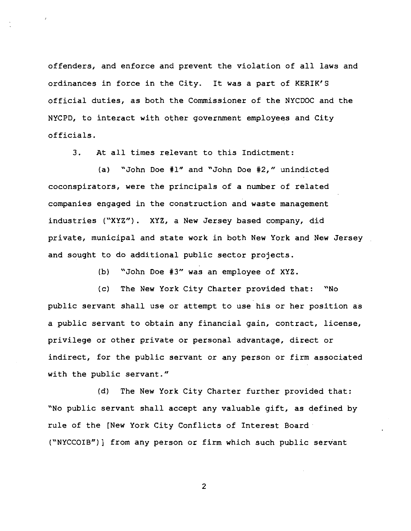offenders, and enforce and prevent the violation of all laws and ordinances in force in the City. It was a part of KERIK'S official duties, as both the Commissioner of the NYCDOC and the NYCPD, to interact with other government employees and City officials.

3. At all times relevant to this Indictment:

(a) "John Doe #1" and "John Doe #2," unindicted coconspirators, were the principals of a number of related companies engaged in the construction and waste management industries ("XYZ"). XYZ, a New Jersey based company, did private, municipal and state work in both New York and New Jersey and sought to do additional public sector projects.

(b) "John Doe #3" was an employee of XYZ.

(c) The New York City Charter provided that: "No public servant shall use or attempt to use his or her position as a public servant to obtain any financial gain, contract, license, privilege or other private or personal advantage, direct or indirect, for the public servant or any person or firm associated with the public servant."

(d) The New York City Charter further provided that: "No public servant shall accept any valuable gift, as defined by rule of the [New York City Conflicts of Interest Board ("NYCCOIB")] from any person or firm which such public servant

 $\overline{2}$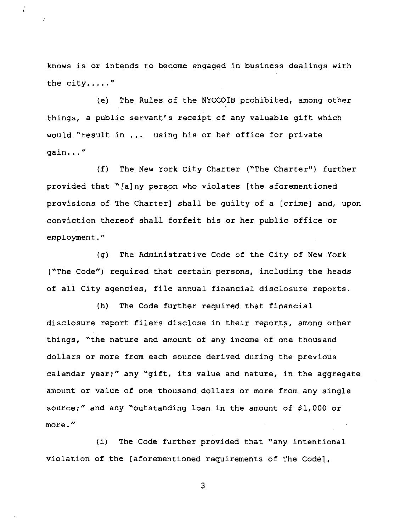knows is or intends to become engaged in business dealings with the city.. . . . **<sup>n</sup>**

(e) The Rules of the NYCCOIB prohibited, among other things, a public servant's receipt of any valuable gift which would "result in ... using his or her office for private gain. . . "

(f) The New York City Charter ("The Charter") further provided that "[alny person who violates [the aforementioned provisions of The Charter] shall be guilty of a [crime] and, upon conviction thereof shall forfeit his or her public office or employment."

(g) The Administrative Code of the City of New York ("The Code") required that certain persons, including the heads of all City agencies, file annual financial disclosure reports.

(h) The Code further required that financial disclosure report filers disclose in their reports, among other things, 'the nature and amount of any income of one thousand dollars or more from each source derived during the previous calendar year;" any "gift, its value and nature, in the aggregate amount or value of one thousand dollars or more from any single source;" and any 'outstanding loan in the amount of \$1,000 or more. "

(i) The Code further provided that "any intentional violation of the [aforementioned requirements of The Code],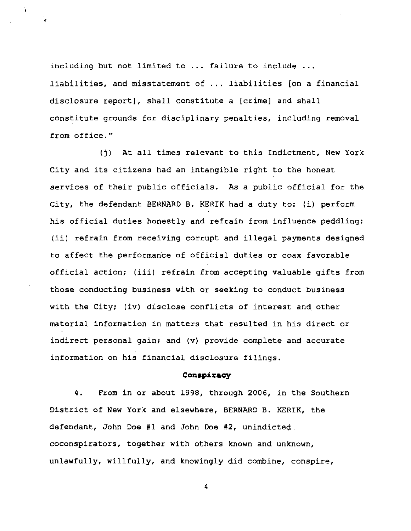including but not limited to ... failure to include ... liabilities, and misstatement of ... liabilities [on a financial disclosure report], shall constitute a [crime] and shall constitute grounds for disciplinary penalties, including removal from office."

î.

**(j)** At all times relevant to this Indictment, New York City and its citizens had an intangible right to the honest services of their public officials. As a public official for the City, the defendant BERNARD B. KERIK had a duty to: (i) perform his official duties honestly and refrain from influence peddling; (ii) refrain from receiving corrupt and illegal payments designed to affect the performance of official duties or coax favorable official action; (iii) refrain from accepting valuable gifts from those conducting business with or seeking to conduct business with the City; (iv) disclose conflicts of interest and other material information in matters that resulted in his direct or indirect personal gain; and (v) provide complete and accurate information on his financial disclosure filings.

## **Conspiracy**

4. From in or about 1998, through 2006, in the Southern District of New York and elsewhere, BERNARD B. KERIK, the defendant, John Doe **#1** and John Doe **#2,** unindicted coconspirators, together with others known and unknown, unlawfully, willfully, and knowingly did combine, conspire,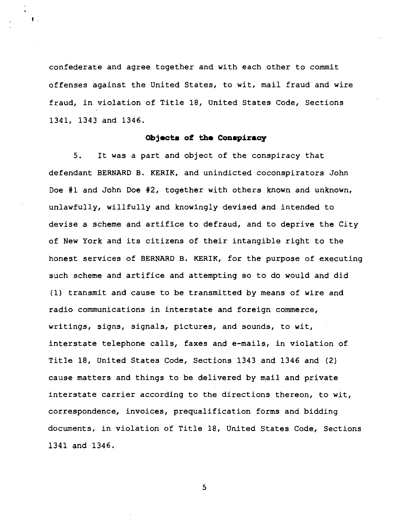confederate and agree together and with each other to commit offenses against the United States, to wit, mail fraud and wire fraud, in violation of Title 18, United States Code, Sections 1341, 1343 and 1346.

## **Objacta of tha** Conspiracy

5. It was a part and object of the conspiracy that defendant BERNARD B. KERIK, and unindicted coconspirators John Doe #1 and John Doe #2, together with others known and unknown, unlawfully, willfully and knowingly devised and intended to devise a scheme and artifice to defraud, and to deprive the City of New York and its citizens of their intangible right to the honest services of BERNARD B. KERIK, for the purpose of executing such scheme and artifice and attempting so to do would and did (1) transmit and cause to be transmitted by means of wire and radio communications in interstate and foreign commerce, writings, signs, signals, pictures, and sounds, to wit, interstate telephone calls, faxes and e-mails, in violation of Title 18, United States Code, Sections 1343 and 1346 and (2) cause matters and things to be delivered by mail and private interstate carrier according to the directions thereon, to wit, correspondence, invoices, prequalification forms and bidding documents, in violation of Title 18, United States Code, Sections 1341 and 1346.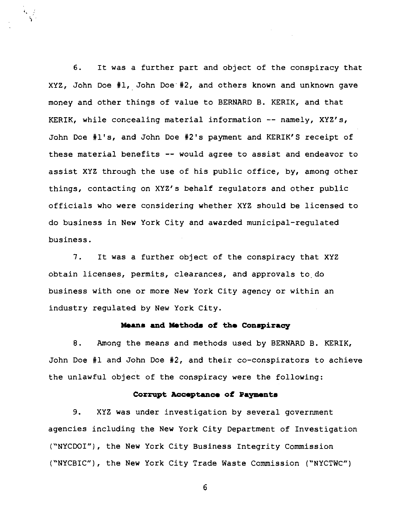6. It was a further part and object of the conspiracy that XYZ, John Doe #1, John Doe #2, and others known and unknown gave money and other things of value to BERNARD B. KERIK, and that KERIK, while concealing material information -- namely, XYZ's, John Doe #1's, and John Doe #2's payment and KERIK'S receipt of these material benefits -- would agree to assist and endeavor to assist XYZ through the use of his public office, by, among other things, contacting on XYZ's behalf regulators and other public officials who were considering whether XYZ should be licensed to do business in New York City and awarded municipal-regulated business.

 $\frac{1}{2}$ 

7. It was a further object of the conspiracy that XYZ obtain licenses, permits, clearances, and approvals to,do business with one or more New York City agency or within an industry regulated by New York City.

# **Meme and Methodm of tho Conepiracy**

8. Among the means and methods used by BERNARD B. KERIK, John Doe #1 and John Doe #2, and their co-conspirators to achieve the unlawful object of the conspiracy were the following:

# Corrupt Acceptance of Payments

9. XYZ was under investigation by several government agencies including the New York City Department of Investigation ("NYCDOI"), the New York City Business Integrity Commission ('NYCBIC"), the New York City Trade Waste Commission ("NYCTWC")

 $6\phantom{1}$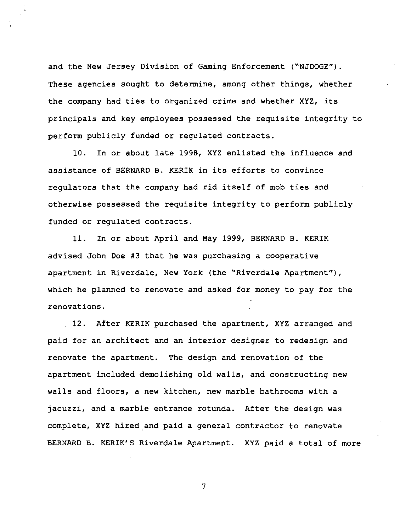and the New Jersey Division of Gaming Enforcement ("NJDOGE"). These agencies sought to determine, among other things, whether the company had ties to organized crime and whether XYZ, its principals and key employees possessed the requisite integrity to perform publicly funded or regulated contracts.

10. In or about late 1998, XYZ enlisted the influence and assistance of BERNARD B. KERIK in its efforts to convince regulators that the company had rid itself of mob ties and otherwise possessed the requisite integrity to perform publicly funded or regulated contracts.

11. In or about April and May 1999, BERNARD B. KERIK advised John Doe **#3** that he was purchasing a cooperative apartment in Riverdale, New York (the "Riverdale Apartment"), which he planned to renovate and asked for money to pay for the renovations.

12. After KERIK purchased the apartment, XYZ arranged and paid for an architect and an interior designer to redesign and renovate the apartment. The design and renovation of the apartment included demolishing old walls, and constructing new walls and floors, a new kitchen, new marble bathrooms with a jacuzzi, and a marble entrance rotunda. After the design was complete, XYZ hired and paid a general contractor to renovate BERNARD B. KERIK'S Riverdale Apartment. XYZ paid a total of more

 $\overline{\phantom{a}}$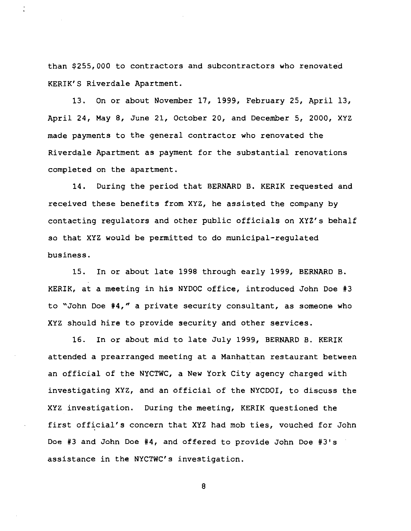than **\$255,000** to contractors and subcontractors who renovated KERIK'S Riverdale Apartment.

**13.** On or about November 17, **1999,** February **25,** April 13, April **24,** May 8, June **21,** October **20,** and December **5, 2000,** XYZ made payments to the general contractor who renovated the Riverdale Apartment as payment for the substantial renovations completed on the apartment.

**14.** During the period that BERNARD B. KERIK requested and received these benefits from XYZ, he assisted the company by contacting regulators and other public officials on XYZ's behalf so that XYZ would be permitted to do municipal-regulated business.

**15.** In or about late **1998** through early **1999,** BERNARD B. KERIK, at a meeting in his NYDOC office, introduced John Doe **#3**  to "John Doe **#4,"** a private security consultant, as someone who XYZ should hire to provide security and other services.

**16.** In or about mid to late July **1999,** BERNARD B. KERIK attended a prearranged meeting at a Manhattan restaurant between an official of the NYCTWC, a New York City agency charged with investigating XYZ, and an official of the NYCDOI, to discuss the XYZ investigation. During the meeting, KERIK questioned the first official's concern that XYZ had mob ties, vouched for John Doe **#3** and John Doe **#4,** and offered to provide John Doe #3's assistance in the NYCTWC's investigation.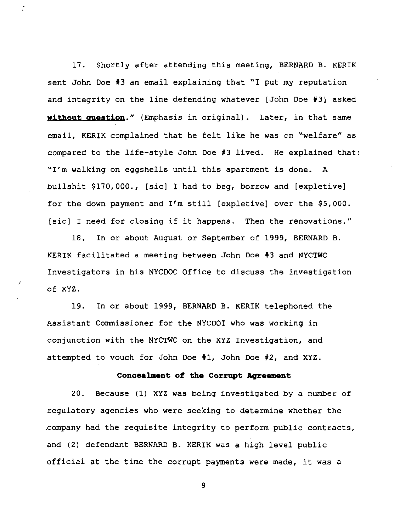17. Shortly after attending this meeting, BERNARD B. KERIK sent John Doe **#3** an email explaining that 'I put my reputation and integrity on the line defending whatever [John Doe #3] asked **without auestion."** (Emphasis in original). Later, in that same email, KERIK complained that he felt like he was on 'welfare" as compared to the life-style John Doe #3 lived. He explained that: 'I'm walking on eggshells until this apartment is done. A bullshit \$170,000., [sic] I had to beg, borrow and [expletive] for the down payment and I'm still [expletive] over the \$5,000. [sic] I need for closing if it happens. Then the renovations."

18. In or about August or September of 1999, BERNARD B. KERIK facilitated a meeting between John Doe #3 and NYCTWC Investigators in his NYCDOC Office to discuss the investigation of XYZ.

19. In or about 1999, BERNARD B. KERIK telephoned the Assistant Commissioner for the NYCDOI who was working in conjunction with the NYCTWC on the XYZ Investigation, and attempted to vouch for John Doe #l, John Doe #2, and XYZ.

# Concealment of the Corrupt Agreement

20. Because (1) XYZ was being investigated by a number of regulatory agencies who were seeking to determine whether the .company had the requisite integrity to perform public contracts, and (2) defendant BERNARD B. KERIK was a high level public official at the time the corrupt payments were made, it was a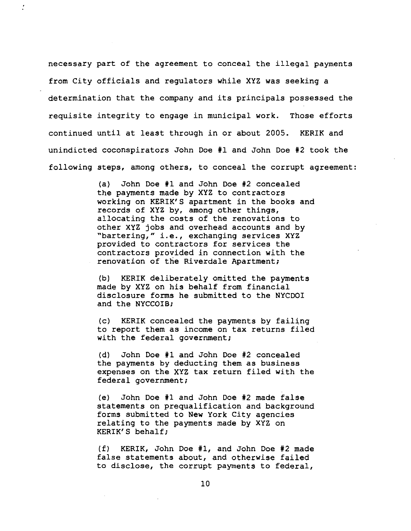necessary part of the agreement to conceal the illegal payments from City officials and regulators while XYZ was seeking a determination that the company and its principals possessed the requisite integrity to engage in municipal work. Those efforts continued until at least through in or about 2005. KERIK and unindicted coconspirators John Doe #1 and John Doe #2 took the following steps, among others, to conceal the corrupt agreement:

> (a) John Doe #l and John Doe #2 concealed the payments made by XYZ to contractors working on KERIK'S apartment in the books and records of XYZ by, among other things, allocating the costs of the renovations to other XYZ jobs and overhead accounts and by "bartering," i.e., exchanging services XYZ provided to contractors for services the contractors provided in connection with the renovation of the Riverdale Apartment;

(b) KERIK deliberately omitted the payments made by XYZ on his behalf from financial disclosure forms he submitted to the NYCDOI and the NYCCOIB;

(c) KERIK concealed the payments by failing to report them as income on tax returns filed with the federal government;

**(d)** John Doe #l and John Doe #2 concealed the payments by deducting them as business expenses on the XYZ tax return filed with the federal government;

(e) John Doe #1 and John Doe #2 made false statements on prequalification and background forms submitted to New York City agencies relating to the payments made by XYZ on KERIK' S behalf;

**(f)** KERIK, John Doe #1, and John Doe #2 made false statements about, and otherwise failed to disclose, the corrupt payments to federal,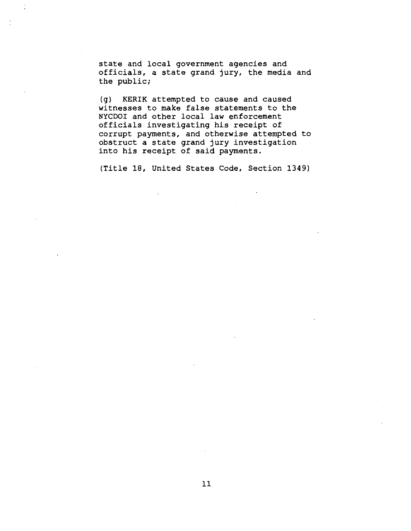state and local government agencies and officials, a state grand jury, the media and the public;

(g) KERIK attempted to cause and caused witnesses to make false statements to the NYCDOI and other local law enforcement officials investigating his receipt of corrupt payments, and otherwise attempted to obstruct a state grand jury investigation into his receipt of said payments.

(Title **18,** United States Code, Section **1349)**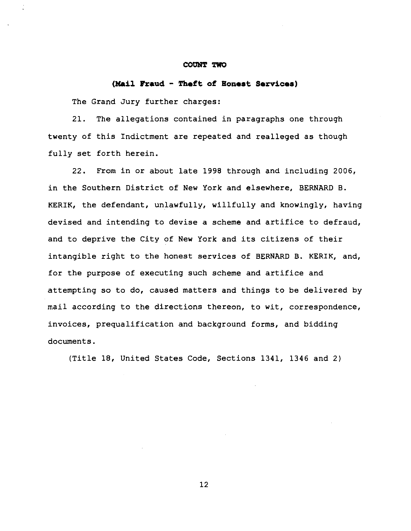#### COUNT TWO

# **(Mail Fraud** - **Theft of Bonest Services)**

The Grand Jury further charges:

21. The allegations contained in paragraphs one through twenty of this Indictment are repeated and realleged as though fully set forth herein.

22. From in or about late 1998 through and including 2006, in the Southern District of New York and elsewhere, BERNARD B. KERIK, the defendant, unlawfully, willfully and knowingly, having devised and intending to devise a scheme and artifice to defraud, and to deprive the City of New York and its citizens of their intangible right to the honest services of BERNARD B. KERIK, and, for the purpose of executing such scheme and artifice and attempting so to do, caused matters and things to be delivered by mail according to the directions thereon, to wit, correspondence, invoices, prequalification and background forms, and bidding documents.

(Title 18, United States Code, Sections 1341, 1346 and 2)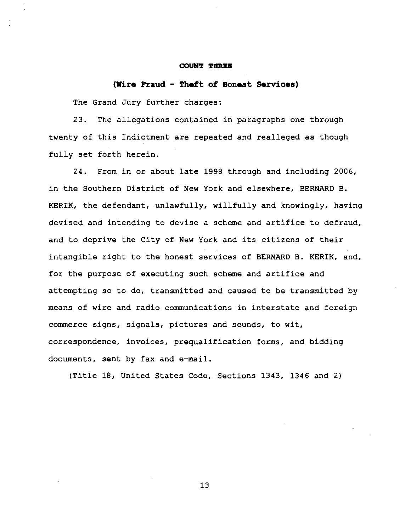#### **COUNT TEREE**

# **(Wire Fraud** - **Theft of Eoneat Services)**

The Grand Jury further charges:

**23.** The allegations contained in paragraphs one through twenty of this Indictment are repeated and realleged as though fully set forth herein.

**24.** From in or about late **1998** through and including **2006,**  in the Southern District of New York and elsewhere, BERNARD B. KERIK, the defendant, unlawfully, willfully and knowingly, having devised and intending to devise a scheme and artifice to defraud, and to deprive the City of New York and its citizens of their intangible right to the honest services of BERNARD B. KERIK, and, for the purpose of executing such scheme and artifice and attempting so to do, transmitted and caused to be transmitted by means of wire and radio communications in interstate and foreign commerce signs, signals, pictures and sounds, to wit, correspondence, invoices, prequalification forms, and bidding documents, sent by fax and e-mail.

(Title **18,** United States Code, Sections **1343, 1346** and **2)**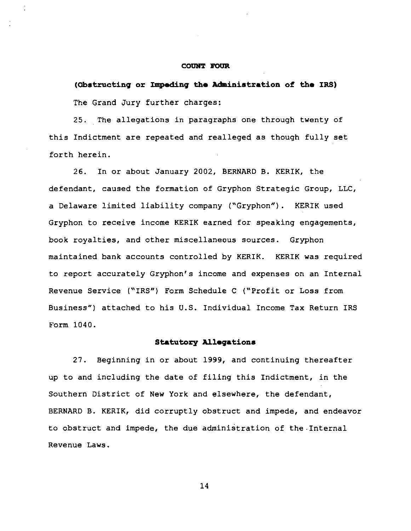#### **COUNT FOUR**

**(Obstructing or Impeding the Administration of tho IRS)**  The Grand Jury further charges:

25. The allegations in paragraphs one through twenty of this Indictment are repeated and realleged as though fully set forth herein.

26. In or about January **2002,** BERNARD B. KERIK, the defendant, caused the formation of Gryphon Strategic Group, LLC, a Delaware limited liability company ('Gryphon"). KERIK used Gryphon to receive income KERIK earned for speaking engagements, book royalties, and other miscellaneous sources. Gryphon maintained bank accounts controlled by KERIK. KERIK was required to report accurately Gryphon's income and expenses on an Internal Revenue Service ("IRS") Form Schedule C ("Profit or Loss from Business") attached to his U.S. Individual Income Tax Return IRS Form **1040.** 

# **Statutory Allegations**

**27.** Beginning in or about 1999, and continuing thereafter up to and including the date of filing this Indictment, in the Southern District of New York and elsewhere, the defendant, BERNARD B. KERIK, did corruptly obstruct and impede, and endeavor to obstruct and impede, the due administration of the.Interna1 Revenue Laws.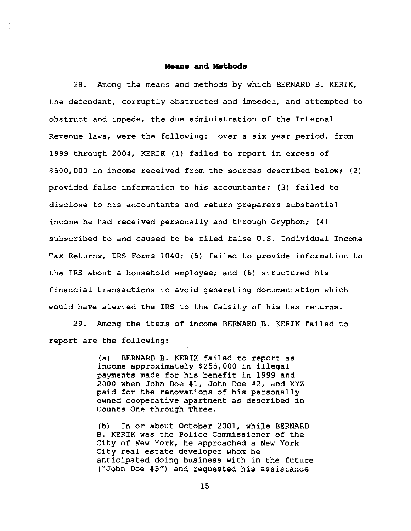## **Means** and **Methods**

28. Among the means and methods by which BERNARD B. KERIK, the defendant, corruptly obstructed and impeded, and attempted to obstruct and impede, the due administration of the Internal Revenue laws, were the following: over a six year period, from 1999 through 2004, KERIK (1) failed to report in excess of \$500,000 in income received from the sources described below; (2) provided false information to his accountants; (3) failed to disclose to his accountants and return preparers substantial income he had received personally and through Gryphon; (4) subscribed to and caused to be filed false U.S. Individual Income Tax Returns, IRS Forms 1040; (5) failed to provide information to the IRS about a household employee; and (6) structured his financial transactions to avoid generating documentation which would have alerted the IRS to the falsity of his tax returns.

29. Among the items of income BERNARD B. KERIK failed to report are the following:

> (a) BERNARD B. KERIK failed to report as income approximately \$255,000 in illegal payments made for his benefit in 1999 and 2000 when John Doe #1, John Doe #2, and XYZ paid for the renovations of his personally owned cooperative apartment as described in Counts One through Three.

(b) In or about October 2001, while BERNARD B. KERIK was the Police Commissioner of the City of New York, he approached a New York City real estate developer whom he anticipated doing business with in the future ("John Doe **#5")** and requested his assistance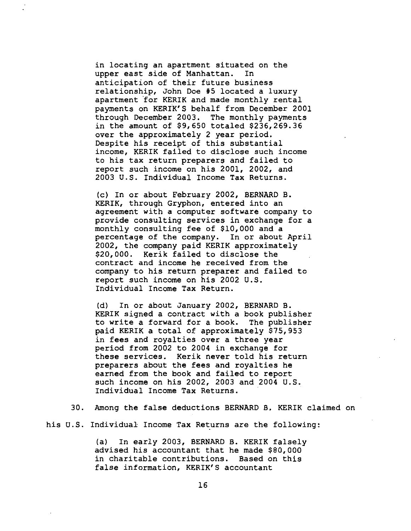in locating an apartment situated on the upper east side of Manhattan. In anticipation of their future business relationship, John Doe **#S** located a luxury apartment 'for KERIK and made monthly rental payments on KERI'K'S behalf from December 2001 through December 2003. The monthly payments in the amount of \$9,650 totaled \$236,269.36 over the approximately 2 year period. Despite his receipt of this substantial income, KERIK failed to disclose such income to his tax return preparers and failed to report such income on his 2001, 2002, and 2003 U.S. Individual Income Tax Returns.

(c) In or about February 2002, BERNARD B. KERIK, through Gryphon, entered into an agreement with a computer software company to provide consulting services in exchange for a monthly consulting fee of \$10,000 and a percentage of the company. In or about April 2002, the company paid KERIK approximately \$20,000. Kerik failed to disclose the contract and income he received from the company to his return preparer and failed to report such income on his 2002 U.S. Individual Income Tax Return.

(d) In or about January 2002, BERNARD B. KERIK signed a contract with a book publisher to write a forward for a book. The publisher paid KERIK a total of approximately \$75,953 in fees and royalties over a three year period from 2002 to 2004 in exchange for these services. Kerik never told his return preparers about the fees and royalties he earned from the book and failed to report such income on his 2002, 2003 and 2004 U.S. Individual Income Tax Returns.

30. Among the false deductions BERNARD B. KERIK claimed on

his U.S. Individual Income Tax Returns are the following:

(a) In early 2003, BERNARD B. KERIK falsely advised his accountant that he made \$80,000 in charitable contributions. Based on this false information, KERIK'S accountant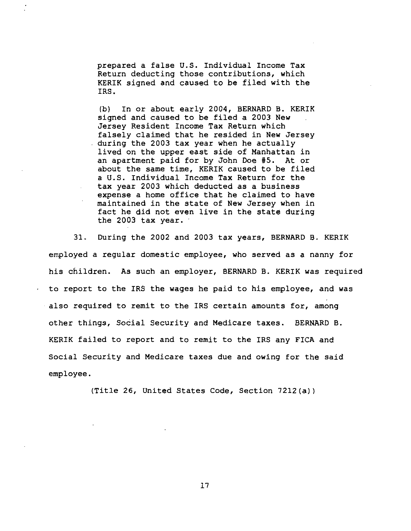prepared a false U.S. Individual Income Tax Return deducting those contributions, which KERIK signed and caused to be filed with the IRS.

(b) In or about early 2004, BERNARD B. KERIK signed and caused to be filed a 2003 New Jersey Resident Income Tax Return which falsely claimed that he resided in New Jersey during the 2003 tax year when he actually lived on the upper east side of Manhattan in an apartment paid for by John Doe #5. At or about the same time, KERIK caused to be filed a U.S. Individual Income Tax Return for the tax year 2003 which deducted as a business expense a home office that he claimed to have maintained in the state of New Jersey when in fact he did not even live in the state during the 2003 tax year.

31. During the 2002 and 2003 tax years, BERNARD B. KERIK employed a regular domestic employee, who served as a nanny for his children. As such an employer, BERNARD B. KERIK was required to report to the IRS the wages he paid to his employee, and was also required to remit to the IRS certain amounts for, among other things, Social Security and Medicare taxes. BERNARD B. KERIK failed to report and to remit to the IRS any FICA and Social Security and Medicare taxes due and owing for the said employee.

(Title 26, United States Code, Section 7212(a))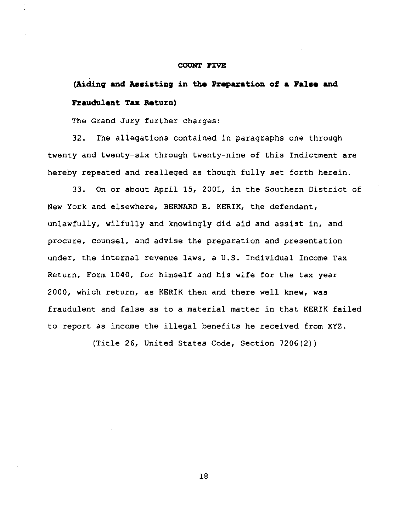#### **COUNT FIVE**

# **(Aiding 6nd Assisting in tha Prapuation of a Fal6a and Fraudulent Tax Return)**

The Grand Jury further charges:

32. The allegations contained in paragraphs one through twenty and twenty-six through twenty-nine of this Indictment are hereby repeated and realleged as though fully set forth herein.

33. On or about April 15, 2001, in the Southern District of New York and elsewhere, BERNARD B. KERIK, the defendant, unlawfully, wilfully and knowingly did aid and assist in, and procure, counsel, and advise the preparation and presentation under, the internal revenue laws, a U.S. Individual Income Tax Return, Form 1040, for himself and his wife for the tax year 2000, which return, as KERIK then and there well knew, was fraudulent and false as to a material matter in that KERIK failed to report as income the illegal benefits he received from XYZ.

(Title 26, United States Code, Section 7206(2) )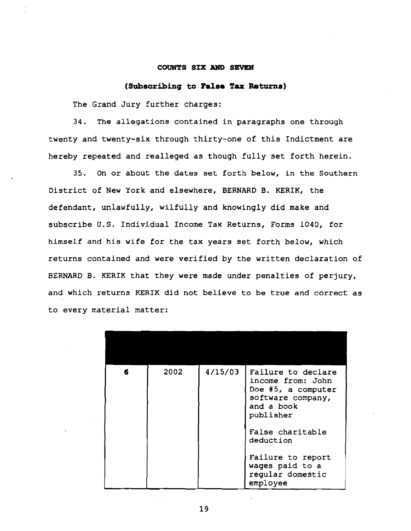## **COUNTS SIX Am SEVEN**

## (Subscribing **to Falaa Tax Returna)**

The Grand Jury further charges:

34. The allegations contained in paragraphs one through twenty and twenty-six through thirty-one of this Indictment are hereby repeated and realleged as though fully set forth herein.

35. On or about the dates set forth below, in the Southern District of New York and elsewhere, BERNARD B. KERIK, the defendant, unlawfully, wilfully and knowingly did make and subscribe **U.S.** Individual Income Tax Returns, Forms 1040, for himself and his wife for the tax years set forth below, which returns contained and were verified by the written declaration of BERNARD B. KERIK that they were made under penalties of perjury, and which returns KERIK did not believe to be true and correct as to every material matter:

| 6 | 2002 | 4/15/03 | Failure to declare<br>income from: John<br>Doe #5, a computer<br>software company,<br>and a book<br>publisher<br>False charitable<br>deduction<br>Failure to report<br>wages paid to a<br>regular domestic<br>employee |
|---|------|---------|------------------------------------------------------------------------------------------------------------------------------------------------------------------------------------------------------------------------|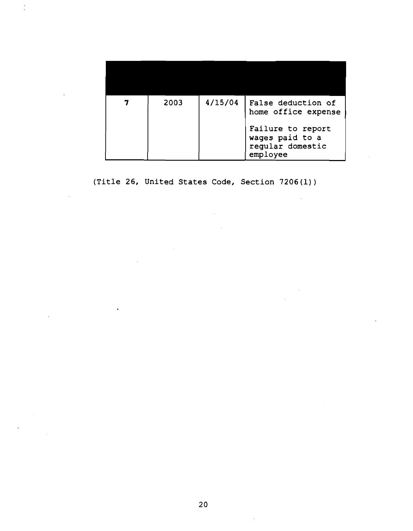| 2003 | 4/15/04 | False deduction of<br>home office expense                            |
|------|---------|----------------------------------------------------------------------|
|      |         | Failure to report<br>wages paid to a<br>regular domestic<br>employee |

 $\sim$ 

**(Title 26, United States Code, Section 7206(1))** 

 $\sim 10^7$ 

 $\sim$   $\sim$ 

 $\ddot{\phantom{0}}$ 

÷.

20

 $\mathcal{A}$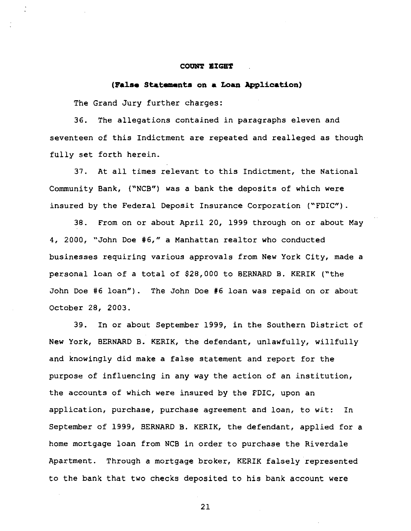#### **COUNT EIGHT**

## **(False Shtemnts on a Loan Application)**

The Grand Jury further charges:

36. The allegations contained in paragraphs eleven and seventeen of this Indictment are repeated and realleged as though fully set forth herein.

37. At all times relevant to this Indictment, the National Community Bank, ("NCB'') was a bank the deposits of which were insured by the Federal Deposit Insurance Corporation ("FDIC").

38. From on or about April 20, 1999 through on or about May 4, 2000, "John Doe **#6,"** a Manhattan realtor who conducted businesses requiring various approvals from New York City, made a personal loan of a total of \$28,000 to BERNARD B. KERIK ("the John Doe #6 loan"). The John Doe #6 loan was repaid on or about October 28, 2003.

39. In or about September 1999, in the Southern District of New York, BERNARD B. KERIK, the defendant, unlawfully, willfully and knowingly did make a false statement and report for the purpose of influencing in any way the action of an institution, the accounts of which were insured by the FDIC, upon an application, purchase, purchase agreement and loan, to wit: In September of 1999, BERNARD B. KERIK, the defendant, applied for a home mortgage loan from NCB in order to purchase the Riverdale Apartment. Through a mortgage broker, KERIK falsely represented to the bank that two checks deposited to his bank account were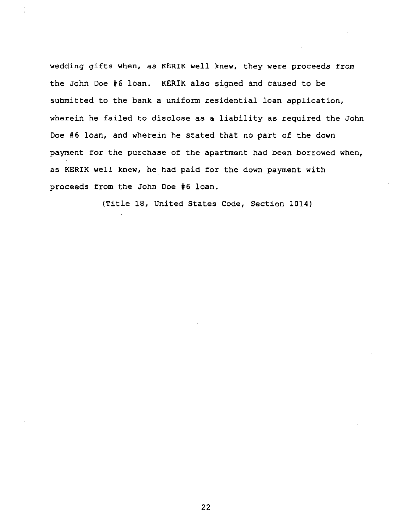wedding gifts when, as **KERIK** well knew, they were proceeds from the John Doe **#6** loan. KERIK also signed and caused to be submitted to the bank a uniform residential loan application, wherein he failed to disclose as a liability as required the John Doe **#6** loan, and wherein he stated that no part of the down payment for the purchase of the apartment had been borrowed when, as **KERIK** well knew, he had paid for the down payment with proceeds from the John Doe **#6** loan.

(Title 18, United States Code, Section 1014)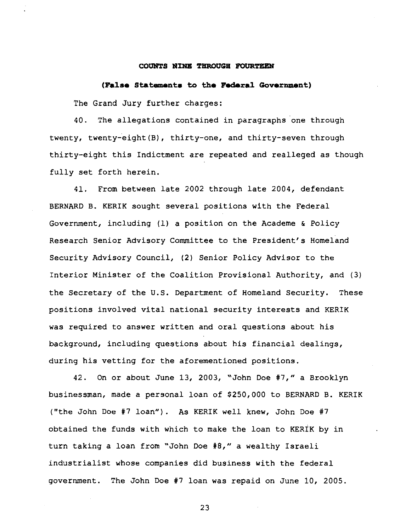#### **COUNTS NINE THRODGB POURTEEN**

#### **(False Statement. to the Federal Goverment)**

The Grand Jury further charges:

40. The allegations contained in paragraphs one through twenty, twenty-eight(B), thirty-one, and thirty-seven through thirty-eight this Indictment are repeated and realleged as though fully set forth herein.

41. From between late 2002 through late 2004, defendant BERNARD B. KERIK sought several positions with the Federal Government, including (1) a position on the Academe & Policy Research Senior Advisory Committee to the President's Homeland Security Advisory Council, (2) Senior Policy Advisor to the Interior Minister of the Coalition Provisional Authority, and (3) the Secretary of the U.S. Department of Homeland Security. These positions involved vital national security interests and KERIK was required to answer written and oral questions about his background, including questions about his financial dealings, during his vetting for the aforementioned positions.

42. On or about June 13, 2003, "John Doe #7," a Brooklyn businessman, made a personal loan of \$250,000 to BERNARD B. KERIK ("the John Doe #7 loan") . As KERIK well knew, John Doe #7 obtained the funds with which to make the loan to KERIK by in turn taking a loan from "John Doe **#8,"** a wealthy Israeli industrialist whose companies did business with the federal government. The John Doe #7 loan was repaid on June 10, 2005.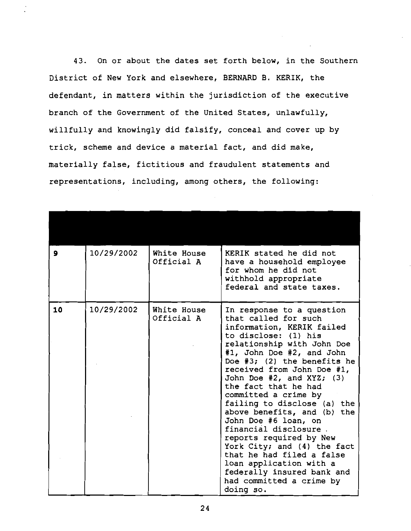43. On or about the dates set forth below, in the Southern District of New York and elsewhere, BERNARD B. KERIK, the defendant, in matters within the jurisdiction of the executive branch of the Government of the United States, unlawfully, willfully and knowingly did falsify, conceal and cover up by trick, scheme and device a material fact, and did make, materially false, fictitious and fraudulent statements and representations, including, among others, the following:

| $\mathbf{9}$ | 10/29/2002 | White House<br>Official A | KERIK stated he did not<br>have a household employee<br>for whom he did not<br>withhold appropriate<br>federal and state taxes.                                                                                                                                                                                                                                                                                                                                                                                                                                                                                             |
|--------------|------------|---------------------------|-----------------------------------------------------------------------------------------------------------------------------------------------------------------------------------------------------------------------------------------------------------------------------------------------------------------------------------------------------------------------------------------------------------------------------------------------------------------------------------------------------------------------------------------------------------------------------------------------------------------------------|
| 10           | 10/29/2002 | White House<br>Official A | In response to a question<br>that called for such<br>information, KERIK failed<br>to disclose: (1) his<br>relationship with John Doe<br>#1, John Doe #2, and John<br>Doe $#3$ ; (2) the benefits he<br>received from John Doe #1,<br>John Doe $#2$ , and XYZ; $(3)$<br>the fact that he had<br>committed a crime by<br>failing to disclose (a) the<br>above benefits, and (b) the<br>John Doe #6 loan, on<br>financial disclosure.<br>reports required by New<br>York City; and (4) the fact<br>that he had filed a false<br>loan application with a<br>federally insured bank and<br>had committed a crime by<br>doing so. |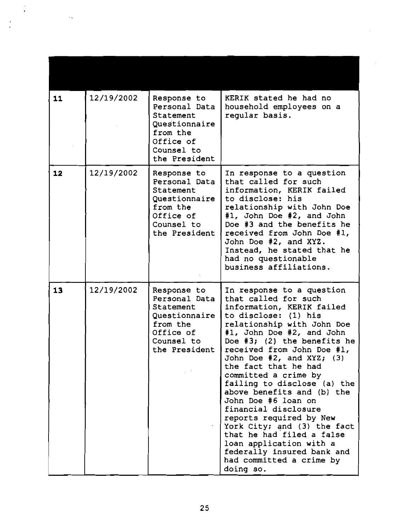| 11 | 12/19/2002 | Response to<br>Personal Data<br>Statement<br>Questionnaire<br>from the<br>Office of<br>Counsel to<br>the President | KERIK stated he had no<br>household employees on a<br>regular basis.                                                                                                                                                                                                                                                                                                                                                                                                                                                                                                                                                   |
|----|------------|--------------------------------------------------------------------------------------------------------------------|------------------------------------------------------------------------------------------------------------------------------------------------------------------------------------------------------------------------------------------------------------------------------------------------------------------------------------------------------------------------------------------------------------------------------------------------------------------------------------------------------------------------------------------------------------------------------------------------------------------------|
| 12 | 12/19/2002 | Response to<br>Personal Data<br>Statement<br>Questionnaire<br>from the<br>Office of<br>Counsel to<br>the President | In response to a question<br>that called for such<br>information, KERIK failed<br>to disclose: his<br>relationship with John Doe<br>#1, John Doe #2, and John<br>Doe #3 and the benefits he<br>received from John Doe #1,<br>John Doe #2, and XYZ.<br>Instead, he stated that he<br>had no questionable<br>business affiliations.                                                                                                                                                                                                                                                                                      |
| 13 | 12/19/2002 | Response to<br>Personal Data<br>Statement<br>Questionnaire<br>from the<br>Office of<br>Counsel to<br>the President | In response to a question<br>that called for such<br>information, KERIK failed<br>to disclose: (1) his<br>relationship with John Doe<br>#1, John Doe #2, and John<br>Doe $#3$ ; (2) the benefits he<br>received from John Doe #1,<br>John Doe #2, and XYZ;<br>(3)<br>the fact that he had<br>committed a crime by<br>failing to disclose (a) the<br>above benefits and (b) the<br>John Doe #6 loan on<br>financial disclosure<br>reports required by New<br>York City; and (3) the fact<br>that he had filed a false<br>loan application with a<br>federally insured bank and<br>had committed a crime by<br>doing so. |

l.

 $\cdot$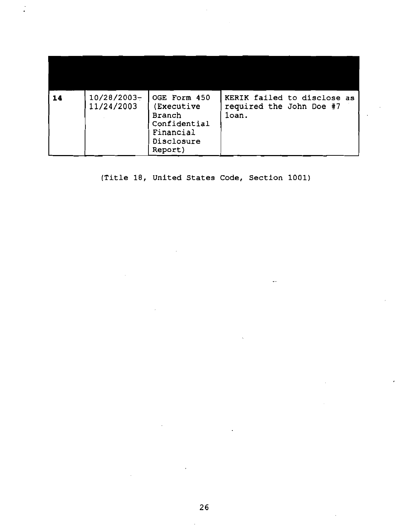| 14 | 10/28/2003-<br>11/24/2003 | OGE Form 450<br>(Executive<br><b>Branch</b><br>Confidential<br>Financial<br>Disclosure<br>Report) | KERIK failed to disclose as<br>required the John Doe #7<br>loan. |
|----|---------------------------|---------------------------------------------------------------------------------------------------|------------------------------------------------------------------|

**(Title 18, United States Code, Section 1001)** 

 $\hat{\mathcal{L}}$ 

 $\mathcal{L}_{\mathcal{A}}$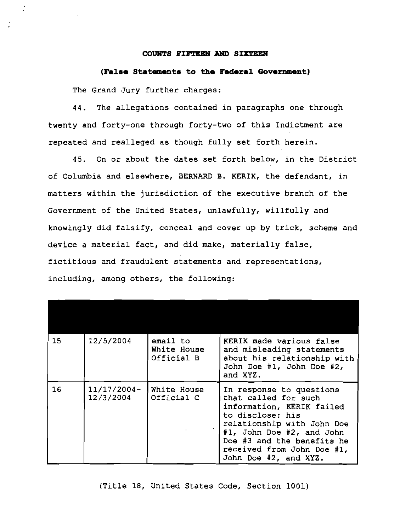#### **COUNTS PIETEEN AND SIXTEEN**

## (False Statements to the Federal Government)

The Grand Jury further charges:

44. The allegations contained in paragraphs one through twenty and forty-one through forty-two of this Indictment are repeated and realleged as though fully set forth herein.

45. On or about the dates set forth below, in the District of Columbia and elsewhere, BERNARD B. KERIK, the defendant, in matters within the jurisdiction of the executive branch of the Government of the United States, unlawfully, willfully and knowingly did falsify, conceal and cover up by trick, scheme and device a material fact, and did make, materially false, fictitious and fraudulent statements and representations, including, among others, the following:

| 15 | 12/5/2004                  | email to<br>White House<br>Official B | KERIK made various false<br>and misleading statements<br>about his relationship with<br>John Doe #1, John Doe #2,<br>and XYZ.                                                                                                                     |
|----|----------------------------|---------------------------------------|---------------------------------------------------------------------------------------------------------------------------------------------------------------------------------------------------------------------------------------------------|
| 16 | $11/17/2004-$<br>12/3/2004 | White House<br>Official C             | In response to questions<br>that called for such<br>information, KERIK failed<br>to disclose: his<br>relationship with John Doe<br>#1, John Doe #2, and John<br>Doe #3 and the benefits he<br>received from John Doe #1,<br>John Doe #2, and XYZ. |

## (Title 18, United States Code, Section 1001)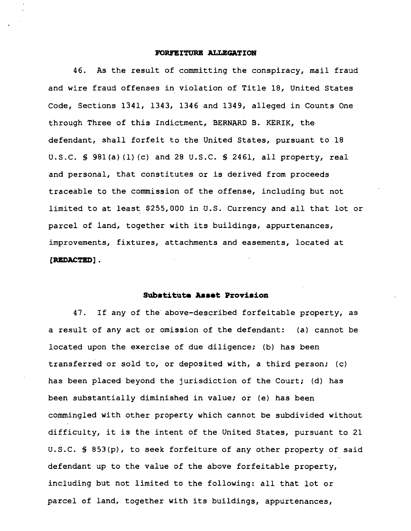## **FORFEITURE ALLEGATION**

46. As the result of committing the conspiracy, mail fraud and wire fraud offenses in violation of Title 18, United States Code, Sections 1341, 1343, 1346 and 1349, alleged in Counts One through Three of this Indictment, BERNARD B. KERIK, the defendant, shall forfeit to the United States, pursuant to 18 U.S.C. **5** 981(a) (1) (c) and 28 U.S.C. **5** 2461, all property, real and personal, that constitutes or is derived from proceeds traceable to the commission of the offense, including but not limited to at least \$255,000 in U.S. Currency and all that lot or parcel of land, together with its buildings, appurtenances, improvements, fixtures, attachments and easements, located at [REDACTED] .

## Substitute Asset Provision

47. If any of the' above-described forfeitable property, as a result of any act or omission of the defendant: (a) cannot be located upon the exercise of due diligence; (b) has been transferred or sold to, or deposited with, a third person; (c) has been placed beyond the jurisdiction of the Court; (d) has been substantially diminished in value; or (e) has been commingled with other property which cannot be subdivided without difficulty, it is the intent of the United States, pursuant to 21 U.S.C. **5** 853(p), to seek forfeiture of any other property of said defendant up to the value of the above forfeitable property, including but not limited to the following: all that lot or parcel of land, together with its buildings, appurtenances,